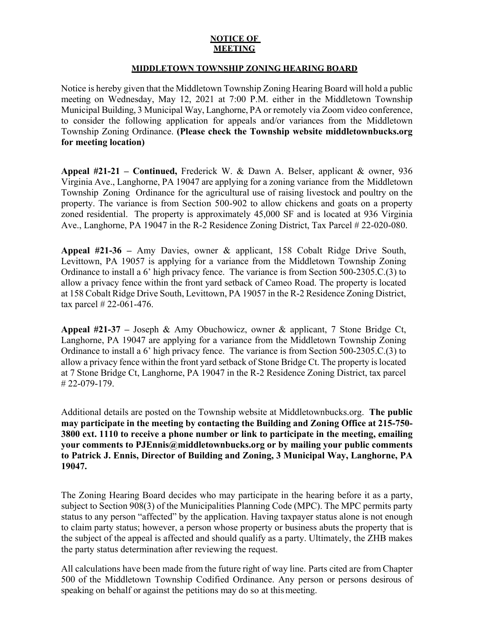## **NOTICE OF MEETING**

## **MIDDLETOWN TOWNSHIP ZONING HEARING BOARD**

Notice is hereby given that the Middletown Township Zoning Hearing Board will hold a public meeting on Wednesday, May 12, 2021 at 7:00 P.M. either in the Middletown Township Municipal Building, 3 Municipal Way, Langhorne, PA or remotely via Zoom video conference, to consider the following application for appeals and/or variances from the Middletown Township Zoning Ordinance. **(Please check the Township website middletownbucks.org for meeting location)** 

**Appeal #21-21 – Continued,** Frederick W. & Dawn A. Belser, applicant & owner, 936 Virginia Ave., Langhorne, PA 19047 are applying for a zoning variance from the Middletown Township Zoning Ordinance for the agricultural use of raising livestock and poultry on the property. The variance is from Section 500-902 to allow chickens and goats on a property zoned residential. The property is approximately 45,000 SF and is located at 936 Virginia Ave., Langhorne, PA 19047 in the R-2 Residence Zoning District, Tax Parcel # 22-020-080.

**Appeal #21-36 –** Amy Davies, owner & applicant, 158 Cobalt Ridge Drive South, Levittown, PA 19057 is applying for a variance from the Middletown Township Zoning Ordinance to install a 6' high privacy fence. The variance is from Section 500-2305.C.(3) to allow a privacy fence within the front yard setback of Cameo Road. The property is located at 158 Cobalt Ridge Drive South, Levittown, PA 19057 in the R-2 Residence Zoning District, tax parcel # 22-061-476.

**Appeal #21-37 –** Joseph & Amy Obuchowicz, owner & applicant, 7 Stone Bridge Ct, Langhorne, PA 19047 are applying for a variance from the Middletown Township Zoning Ordinance to install a 6' high privacy fence. The variance is from Section 500-2305.C.(3) to allow a privacy fence within the front yard setback of Stone Bridge Ct. The property is located at 7 Stone Bridge Ct, Langhorne, PA 19047 in the R-2 Residence Zoning District, tax parcel # 22-079-179.

Additional details are posted on the Township website at Middletownbucks.org. **The public may participate in the meeting by contacting the Building and Zoning Office at 215-750- 3800 ext. 1110 to receive a phone number or link to participate in the meeting, emailing your comments to PJEnnis@middletownbucks.org or by mailing your public comments to Patrick J. Ennis, Director of Building and Zoning, 3 Municipal Way, Langhorne, PA 19047.** 

The Zoning Hearing Board decides who may participate in the hearing before it as a party, subject to Section 908(3) of the Municipalities Planning Code (MPC). The MPC permits party status to any person "affected" by the application. Having taxpayer status alone is not enough to claim party status; however, a person whose property or business abuts the property that is the subject of the appeal is affected and should qualify as a party. Ultimately, the ZHB makes the party status determination after reviewing the request.

All calculations have been made from the future right of way line. Parts cited are from Chapter 500 of the Middletown Township Codified Ordinance. Any person or persons desirous of speaking on behalf or against the petitions may do so at this meeting.